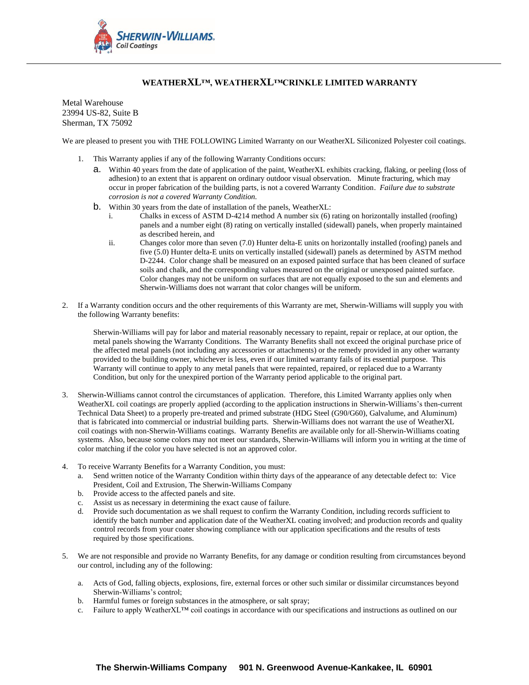

## **WEATHERXL™, WEATHERXL™CRINKLE LIMITED WARRANTY**

Metal Warehouse 23994 US-82, Suite B Sherman, TX 75092

We are pleased to present you with THE FOLLOWING Limited Warranty on our WeatherXL Siliconized Polyester coil coatings.

- 1. This Warranty applies if any of the following Warranty Conditions occurs:
	- a. Within 40 years from the date of application of the paint, WeatherXL exhibits cracking, flaking, or peeling (loss of adhesion) to an extent that is apparent on ordinary outdoor visual observation. Minute fracturing, which may occur in proper fabrication of the building parts, is not a covered Warranty Condition. *Failure due to substrate corrosion is not a covered Warranty Condition.*
	- b. Within 30 years from the date of installation of the panels, WeatherXL:
		- i. Chalks in excess of ASTM D-4214 method A number six (6) rating on horizontally installed (roofing) panels and a number eight (8) rating on vertically installed (sidewall) panels, when properly maintained as described herein, and
		- ii. Changes color more than seven (7.0) Hunter delta-E units on horizontally installed (roofing) panels and five (5.0) Hunter delta-E units on vertically installed (sidewall) panels as determined by ASTM method D-2244. Color change shall be measured on an exposed painted surface that has been cleaned of surface soils and chalk, and the corresponding values measured on the original or unexposed painted surface. Color changes may not be uniform on surfaces that are not equally exposed to the sun and elements and Sherwin-Williams does not warrant that color changes will be uniform.
- 2. If a Warranty condition occurs and the other requirements of this Warranty are met, Sherwin-Williams will supply you with the following Warranty benefits:

Sherwin-Williams will pay for labor and material reasonably necessary to repaint, repair or replace, at our option, the metal panels showing the Warranty Conditions. The Warranty Benefits shall not exceed the original purchase price of the affected metal panels (not including any accessories or attachments) or the remedy provided in any other warranty provided to the building owner, whichever is less, even if our limited warranty fails of its essential purpose. This Warranty will continue to apply to any metal panels that were repainted, repaired, or replaced due to a Warranty Condition, but only for the unexpired portion of the Warranty period applicable to the original part.

- 3. Sherwin-Williams cannot control the circumstances of application. Therefore, this Limited Warranty applies only when WeatherXL coil coatings are properly applied (according to the application instructions in Sherwin-Williams's then-current Technical Data Sheet) to a properly pre-treated and primed substrate (HDG Steel (G90/G60), Galvalume, and Aluminum) that is fabricated into commercial or industrial building parts. Sherwin-Williams does not warrant the use of WeatherXL coil coatings with non-Sherwin-Williams coatings. Warranty Benefits are available only for all-Sherwin-Williams coating systems. Also, because some colors may not meet our standards, Sherwin-Williams will inform you in writing at the time of color matching if the color you have selected is not an approved color.
- 4. To receive Warranty Benefits for a Warranty Condition, you must:
	- a. Send written notice of the Warranty Condition within thirty days of the appearance of any detectable defect to: Vice President, Coil and Extrusion, The Sherwin-Williams Company
	- b. Provide access to the affected panels and site.
	- c. Assist us as necessary in determining the exact cause of failure.
	- Provide such documentation as we shall request to confirm the Warranty Condition, including records sufficient to identify the batch number and application date of the WeatherXL coating involved; and production records and quality control records from your coater showing compliance with our application specifications and the results of tests required by those specifications.
- 5. We are not responsible and provide no Warranty Benefits, for any damage or condition resulting from circumstances beyond our control, including any of the following:
	- a. Acts of God, falling objects, explosions, fire, external forces or other such similar or dissimilar circumstances beyond Sherwin-Williams's control;
	- b. Harmful fumes or foreign substances in the atmosphere, or salt spray;
	- c. Failure to apply WeatherXL™ coil coatings in accordance with our specifications and instructions as outlined on our